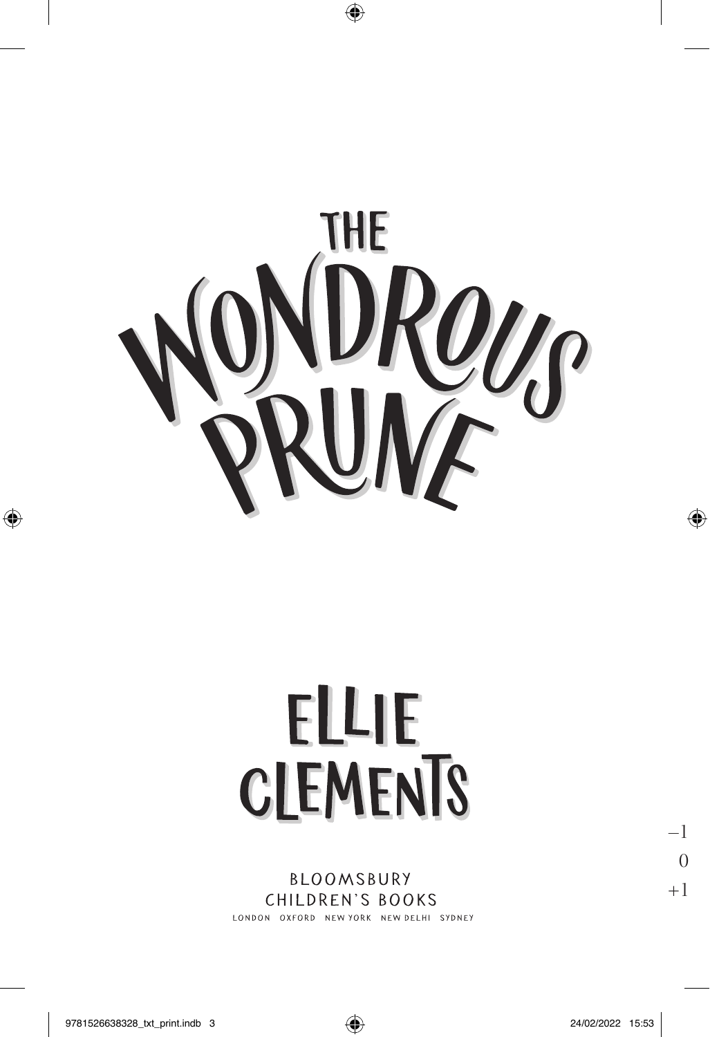

## ELLIE **CLEMENTS**

**BLOOMSBURY CHILDREN'S BOOKS** LONDON OXFORD NEW YORK NEW DELHI SYDNEY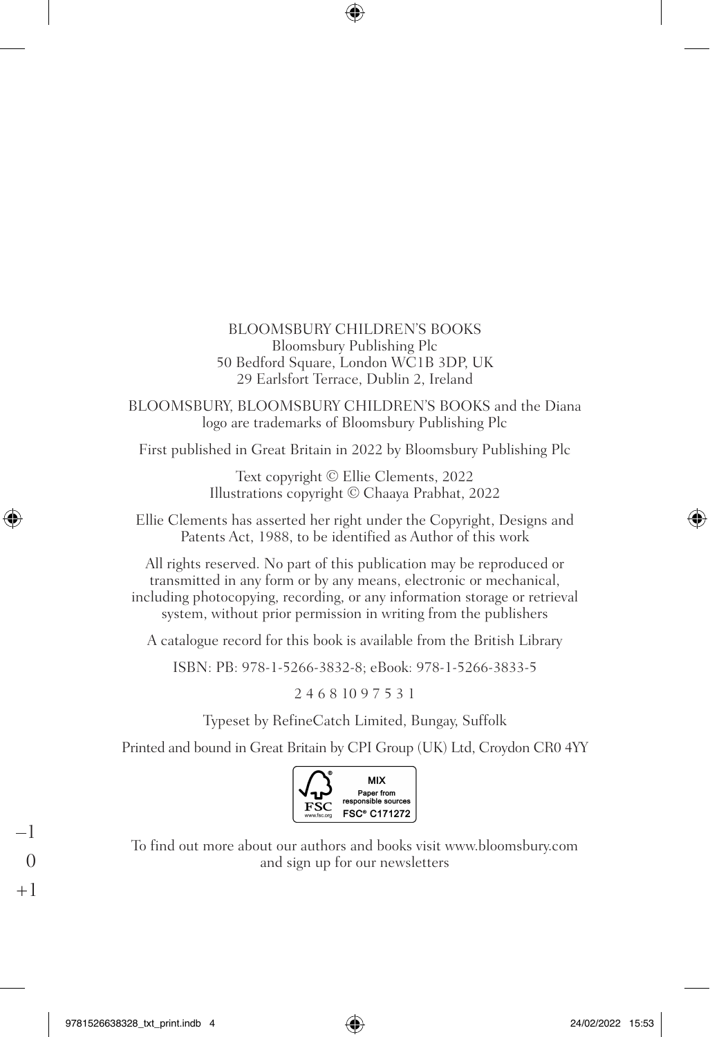BLOOMSBURY CHILDREN'S BOOKS Bloomsbury Publishing Plc 50 Bedford Square, London WC1B 3DP, UK 29 Earlsfort Terrace, Dublin 2, Ireland

BLOOMSBURY, BLOOMSBURY CHILDREN'S BOOKS and the Diana logo are trademarks of Bloomsbury Publishing Plc

First published in Great Britain in 2022 by Bloomsbury Publishing Plc

Text copyright © Ellie Clements, 2022 Illustrations copyright © Chaaya Prabhat, 2022

Ellie Clements has asserted her right under the Copyright, Designs and Patents Act, 1988, to be identified as Author of this work

All rights reserved. No part of this publication may be reproduced or transmitted in any form or by any means, electronic or mechanical, including photocopying, recording, or any information storage or retrieval system, without prior permission in writing from the publishers

A catalogue record for this book is available from the British Library

ISBN: PB: 978-1-5266-3832-8; eBook: 978-1-5266-3833-5

2 4 6 8 10 9 7 5 3 1

Typeset by RefineCatch Limited, Bungay, Suffolk

Printed and bound in Great Britain by CPI Group (UK) Ltd, Croydon CR0 4YY



To find out more about our authors and books visit www.bloomsbury.com and sign up for our newsletters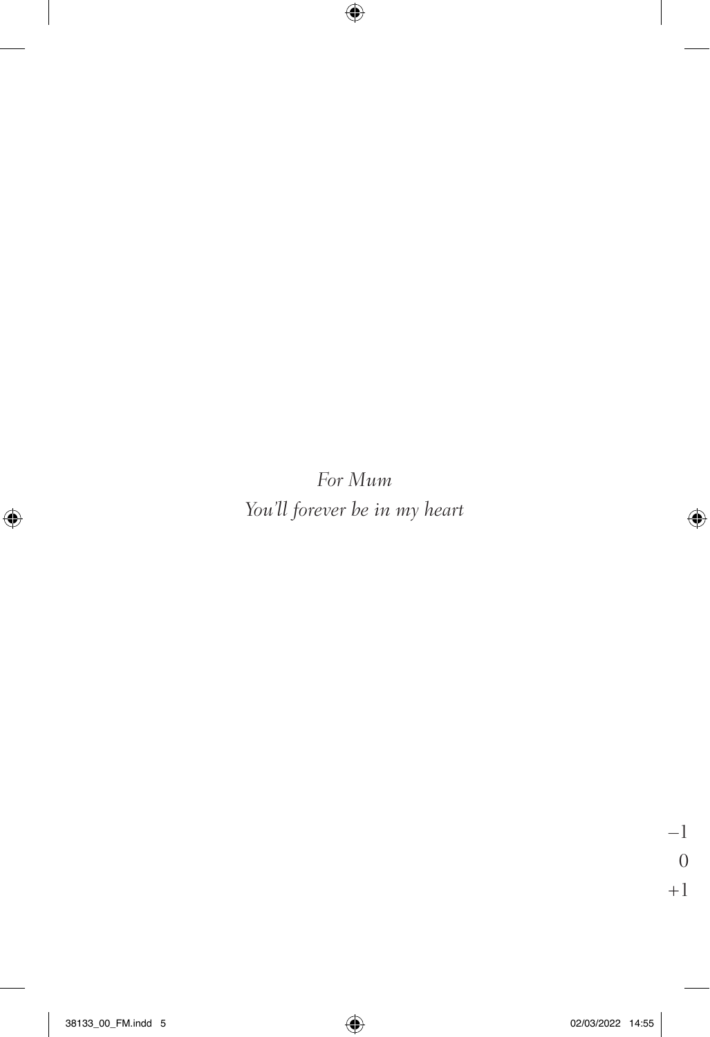*For Mum You'll forever be in my heart*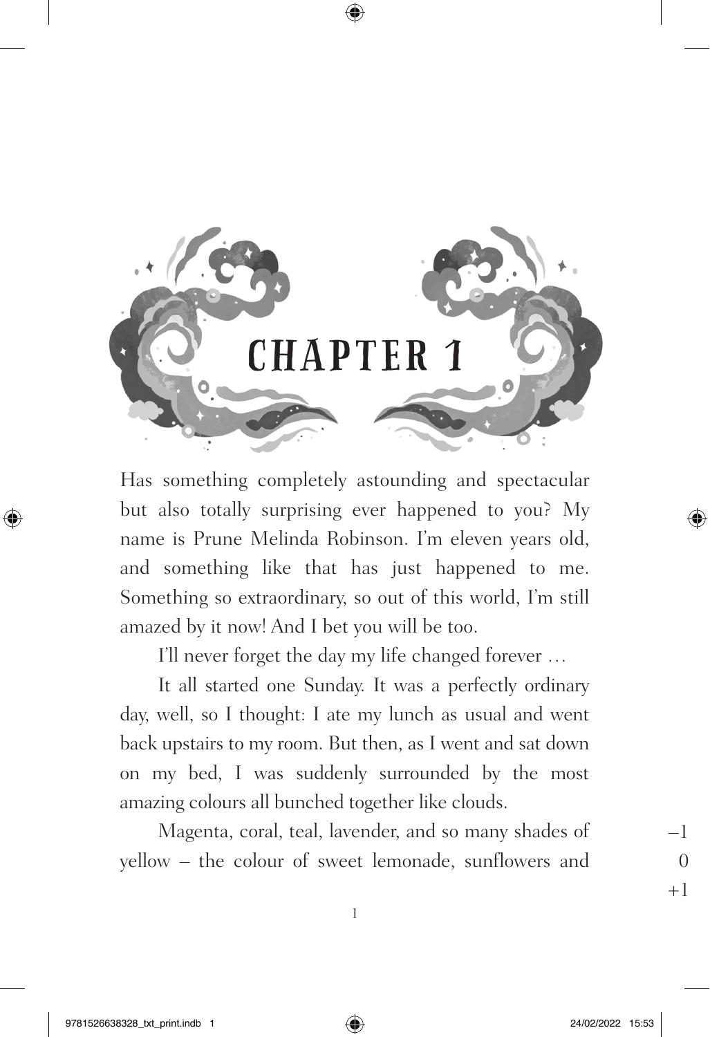

Has something completely astounding and spectacular but also totally surprising ever happened to you? My name is Prune Melinda Robinson. I'm eleven years old, and something like that has just happened to me. Something so extraordinary, so out of this world, I'm still amazed by it now! And I bet you will be too.

I'll never forget the day my life changed forever …

It all started one Sunday. It was a perfectly ordinary day, well, so I thought: I ate my lunch as usual and went back upstairs to my room. But then, as I went and sat down on my bed, I was suddenly surrounded by the most amazing colours all bunched together like clouds.

Magenta, coral, teal, lavender, and so many shades of yellow – the colour of sweet lemonade, sunflowers and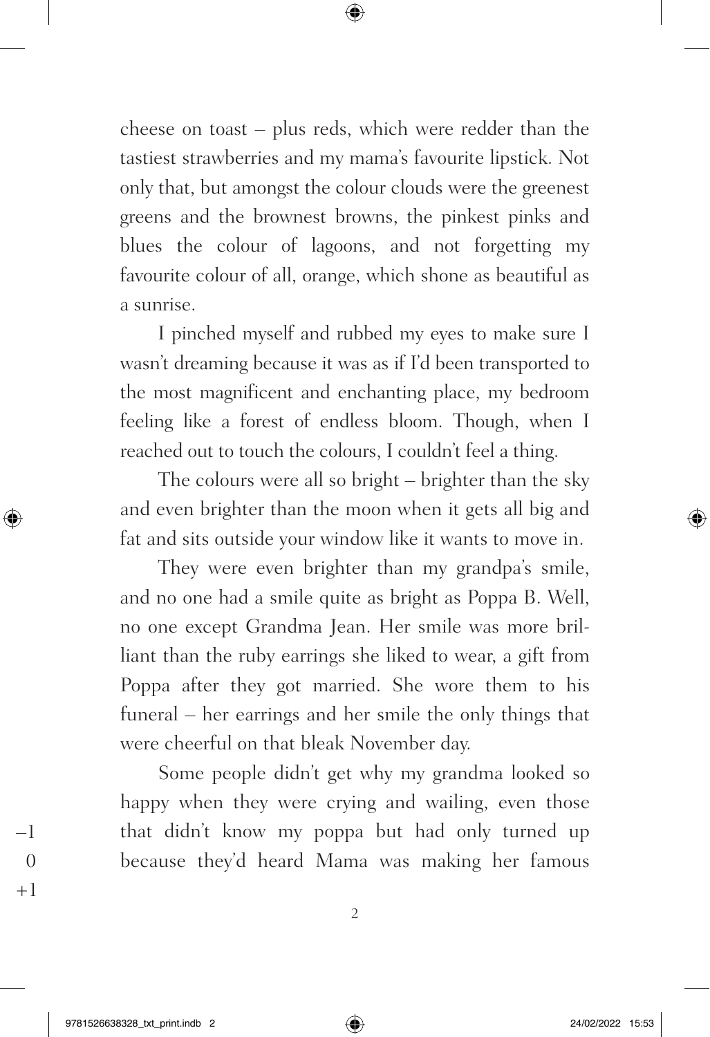cheese on toast – plus reds, which were redder than the tastiest strawberries and my mama's favourite lipstick. Not only that, but amongst the colour clouds were the greenest greens and the brownest browns, the pinkest pinks and blues the colour of lagoons, and not forgetting my favourite colour of all, orange, which shone as beautiful as a sunrise.

I pinched myself and rubbed my eyes to make sure I wasn't dreaming because it was as if I'd been transported to the most magnificent and enchanting place, my bedroom feeling like a forest of endless bloom. Though, when I reached out to touch the colours, I couldn't feel a thing.

The colours were all so bright – brighter than the sky and even brighter than the moon when it gets all big and fat and sits outside your window like it wants to move in.

They were even brighter than my grandpa's smile, and no one had a smile quite as bright as Poppa B. Well, no one except Grandma Jean. Her smile was more brilliant than the ruby earrings she liked to wear, a gift from Poppa after they got married. She wore them to his funeral – her earrings and her smile the only things that were cheerful on that bleak November day.

Some people didn't get why my grandma looked so happy when they were crying and wailing, even those that didn't know my poppa but had only turned up because they'd heard Mama was making her famous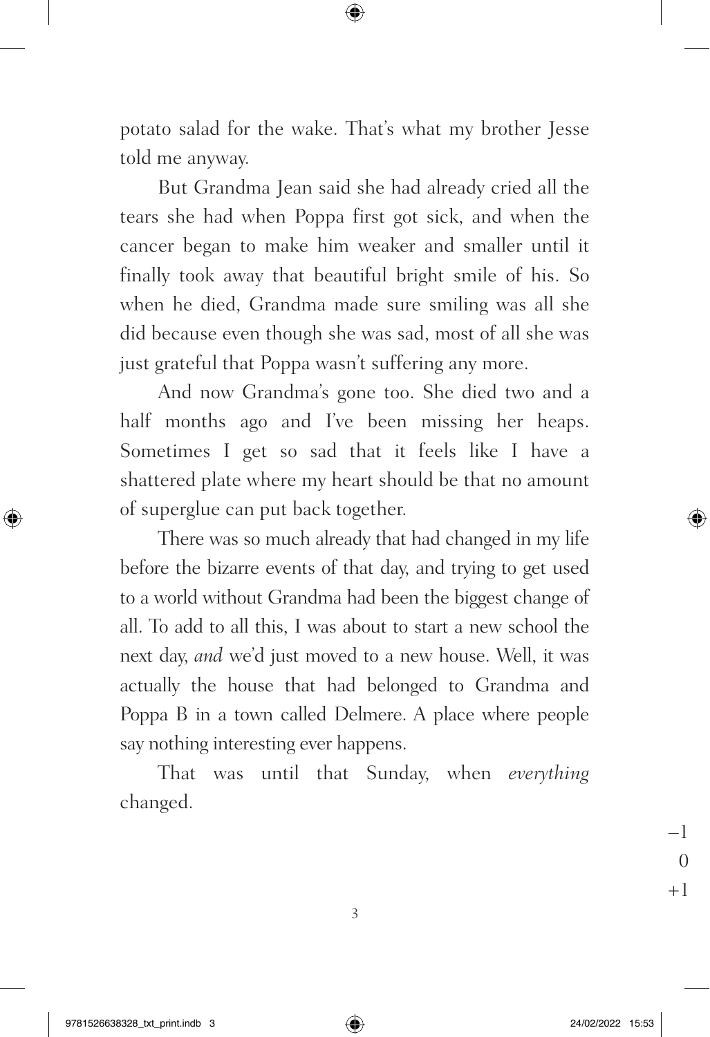potato salad for the wake. That's what my brother Jesse told me anyway.

But Grandma Jean said she had already cried all the tears she had when Poppa first got sick, and when the cancer began to make him weaker and smaller until it finally took away that beautiful bright smile of his. So when he died, Grandma made sure smiling was all she did because even though she was sad, most of all she was just grateful that Poppa wasn't suffering any more.

And now Grandma's gone too. She died two and a half months ago and I've been missing her heaps. Sometimes I get so sad that it feels like I have a shattered plate where my heart should be that no amount of superglue can put back together.

There was so much already that had changed in my life before the bizarre events of that day, and trying to get used to a world without Grandma had been the biggest change of all. To add to all this, I was about to start a new school the next day, *and* we'd just moved to a new house. Well, it was actually the house that had belonged to Grandma and Poppa B in a town called Delmere. A place where people say nothing interesting ever happens.

That was until that Sunday, when *everything* changed.

3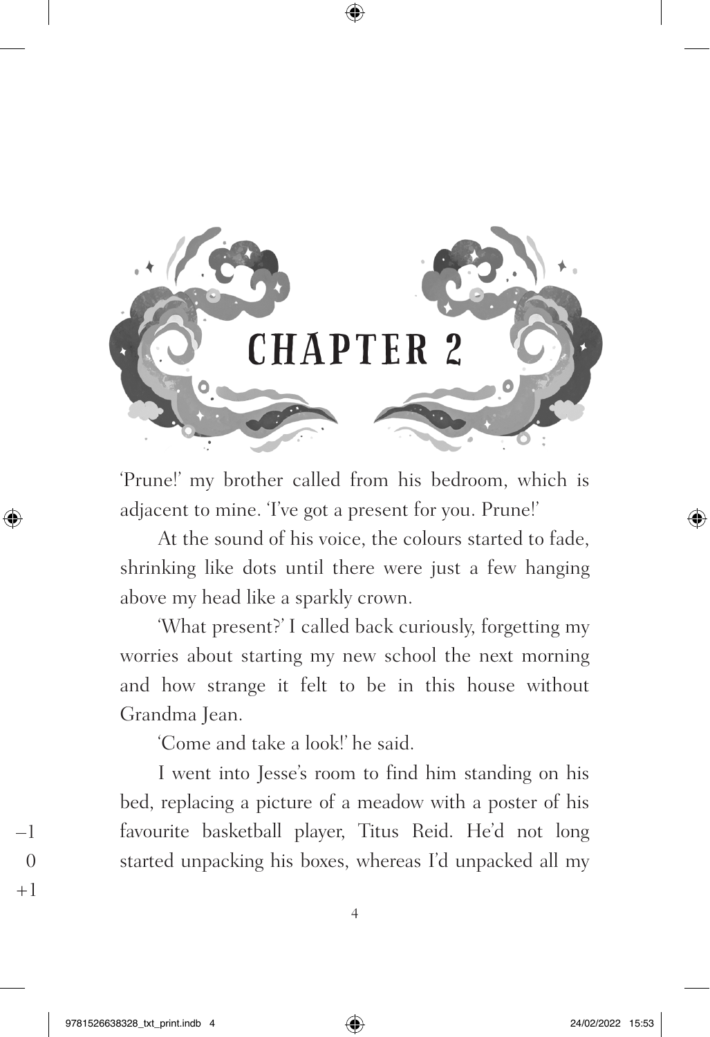

'Prune!' my brother called from his bedroom, which is adjacent to mine. 'I've got a present for you. Prune!'

At the sound of his voice, the colours started to fade, shrinking like dots until there were just a few hanging above my head like a sparkly crown.

'What present?' I called back curiously, forgetting my worries about starting my new school the next morning and how strange it felt to be in this house without Grandma Jean.

'Come and take a look!' he said.

I went into Jesse's room to find him standing on his bed, replacing a picture of a meadow with a poster of his favourite basketball player, Titus Reid. He'd not long started unpacking his boxes, whereas I'd unpacked all my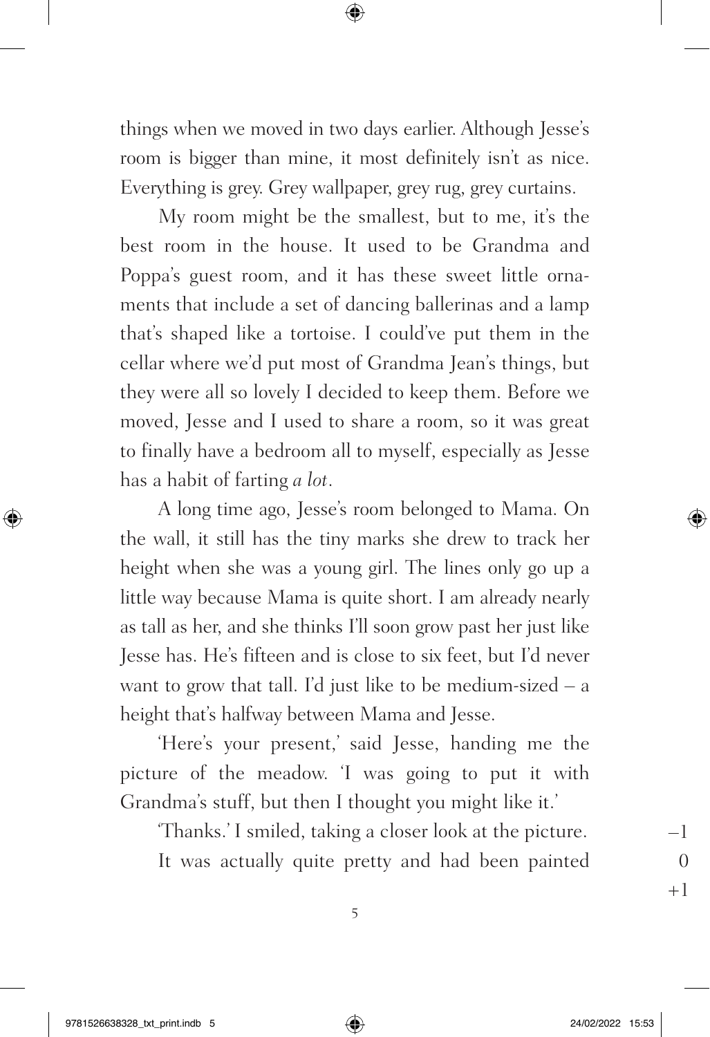things when we moved in two days earlier. Although Jesse's room is bigger than mine, it most definitely isn't as nice. Everything is grey. Grey wallpaper, grey rug, grey curtains.

My room might be the smallest, but to me, it's the best room in the house. It used to be Grandma and Poppa's guest room, and it has these sweet little ornaments that include a set of dancing ballerinas and a lamp that's shaped like a tortoise. I could've put them in the cellar where we'd put most of Grandma Jean's things, but they were all so lovely I decided to keep them. Before we moved, Jesse and I used to share a room, so it was great to finally have a bedroom all to myself, especially as Jesse has a habit of farting *a lot*.

A long time ago, Jesse's room belonged to Mama. On the wall, it still has the tiny marks she drew to track her height when she was a young girl. The lines only go up a little way because Mama is quite short. I am already nearly as tall as her, and she thinks I'll soon grow past her just like Jesse has. He's fifteen and is close to six feet, but I'd never want to grow that tall. I'd just like to be medium-sized  $- a$ height that's halfway between Mama and Jesse.

'Here's your present,' said Jesse, handing me the picture of the meadow. 'I was going to put it with Grandma's stuff, but then I thought you might like it.'

'Thanks.' I smiled, taking a closer look at the picture. It was actually quite pretty and had been painted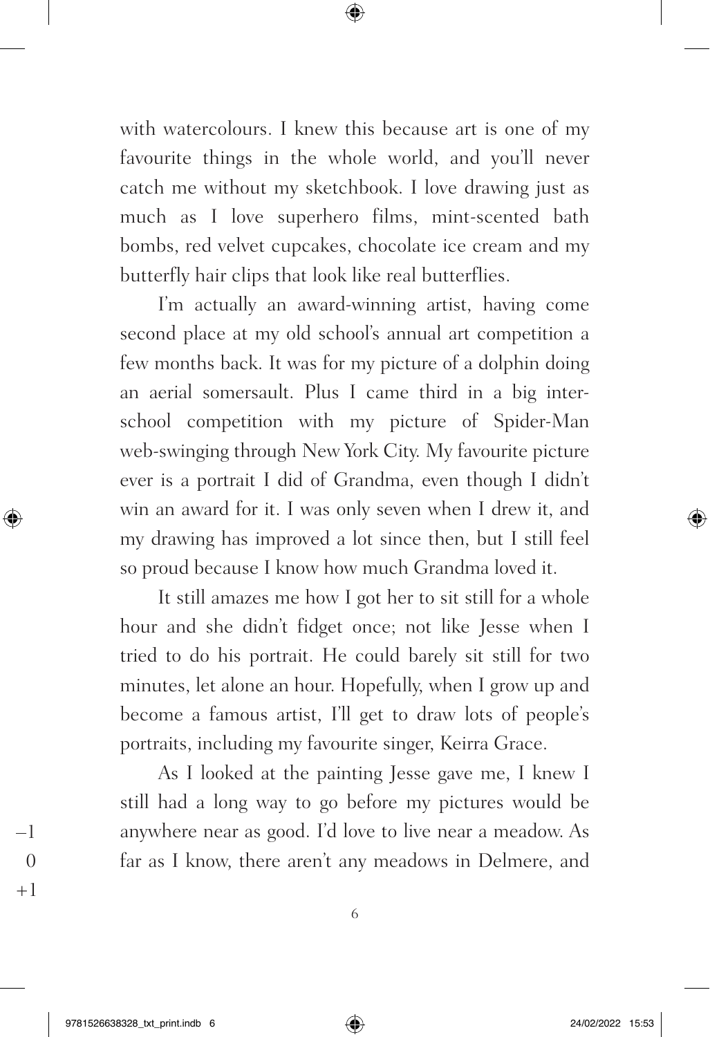with watercolours. I knew this because art is one of my favourite things in the whole world, and you'll never catch me without my sketchbook. I love drawing just as much as I love superhero films, mint-scented bath bombs, red velvet cupcakes, chocolate ice cream and my butterfly hair clips that look like real butterflies.

I'm actually an award-winning artist, having come second place at my old school's annual art competition a few months back. It was for my picture of a dolphin doing an aerial somersault. Plus I came third in a big interschool competition with my picture of Spider-Man web-swinging through New York City. My favourite picture ever is a portrait I did of Grandma, even though I didn't win an award for it. I was only seven when I drew it, and my drawing has improved a lot since then, but I still feel so proud because I know how much Grandma loved it.

It still amazes me how I got her to sit still for a whole hour and she didn't fidget once; not like Jesse when I tried to do his portrait. He could barely sit still for two minutes, let alone an hour. Hopefully, when I grow up and become a famous artist, I'll get to draw lots of people's portraits, including my favourite singer, Keirra Grace.

As I looked at the painting Jesse gave me, I knew I still had a long way to go before my pictures would be anywhere near as good. I'd love to live near a meadow. As far as I know, there aren't any meadows in Delmere, and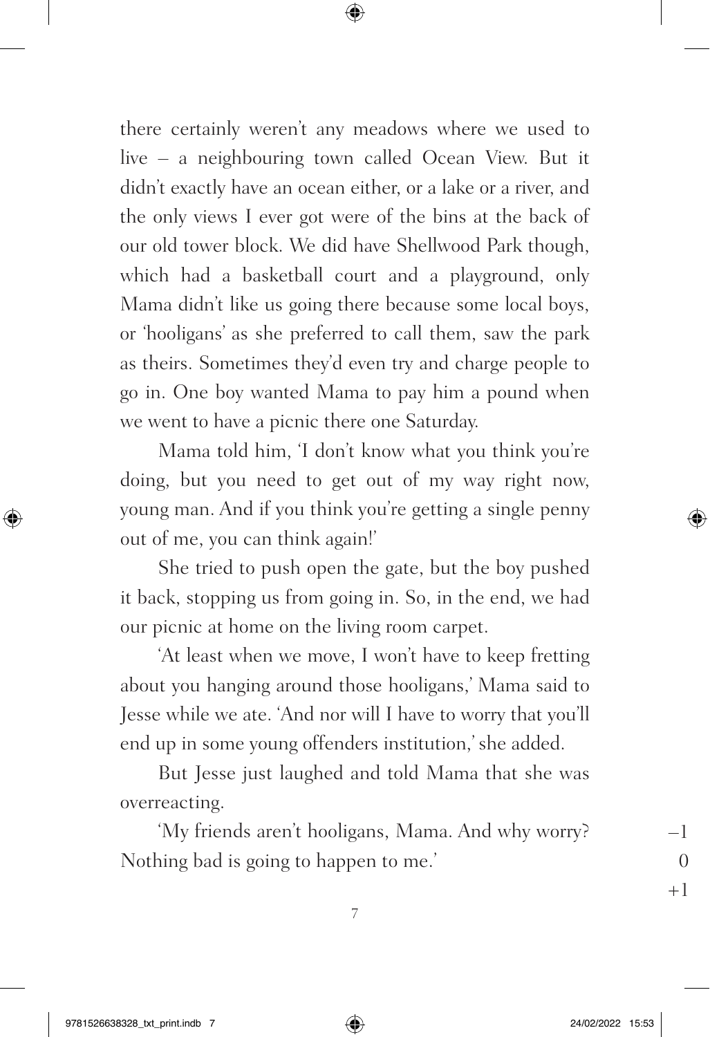there certainly weren't any meadows where we used to live – a neighbouring town called Ocean View. But it didn't exactly have an ocean either, or a lake or a river, and the only views I ever got were of the bins at the back of our old tower block. We did have Shellwood Park though, which had a basketball court and a playground, only Mama didn't like us going there because some local boys, or 'hooligans' as she preferred to call them, saw the park as theirs. Sometimes they'd even try and charge people to go in. One boy wanted Mama to pay him a pound when we went to have a picnic there one Saturday.

Mama told him, 'I don't know what you think you're doing, but you need to get out of my way right now, young man. And if you think you're getting a single penny out of me, you can think again!'

She tried to push open the gate, but the boy pushed it back, stopping us from going in. So, in the end, we had our picnic at home on the living room carpet.

'At least when we move, I won't have to keep fretting about you hanging around those hooligans,' Mama said to Jesse while we ate. 'And nor will I have to worry that you'll end up in some young offenders institution,'she added.

But Jesse just laughed and told Mama that she was overreacting.

'My friends aren't hooligans, Mama. And why worry? Nothing bad is going to happen to me.'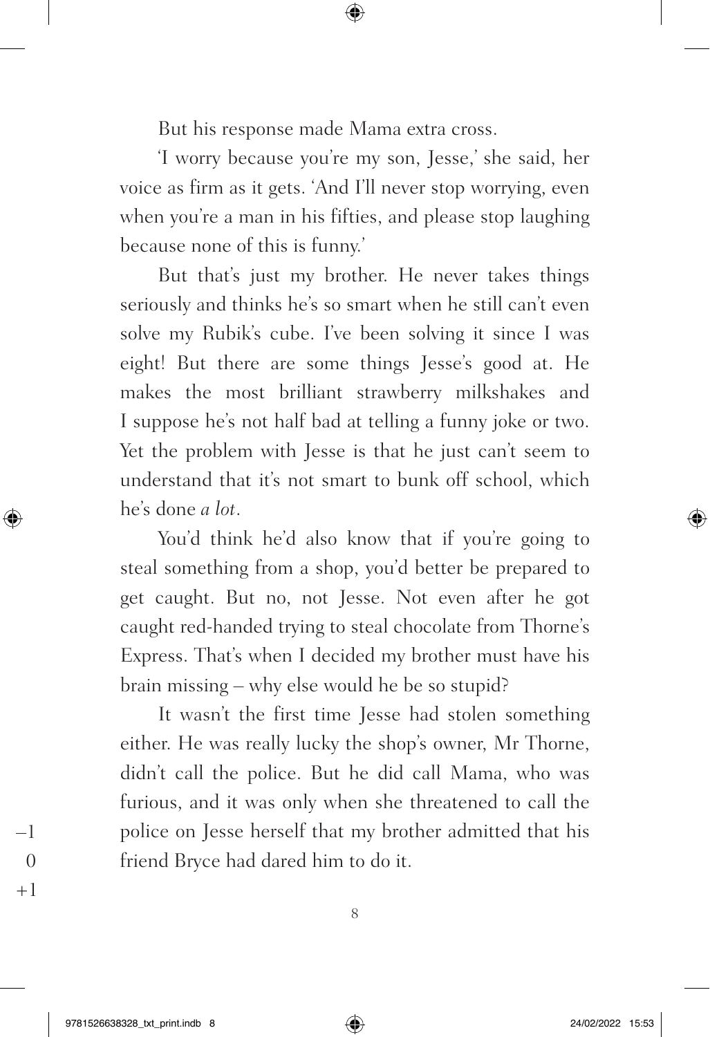But his response made Mama extra cross.

'I worry because you're my son, Jesse,' she said, her voice as firm as it gets. 'And I'll never stop worrying, even when you're a man in his fifties, and please stop laughing because none of this is funny.'

But that's just my brother. He never takes things seriously and thinks he's so smart when he still can't even solve my Rubik's cube. I've been solving it since I was eight! But there are some things Jesse's good at. He makes the most brilliant strawberry milkshakes and I suppose he's not half bad at telling a funny joke or two. Yet the problem with Jesse is that he just can't seem to understand that it's not smart to bunk off school, which he's done *a lot*.

You'd think he'd also know that if you're going to steal something from a shop, you'd better be prepared to get caught. But no, not Jesse. Not even after he got caught red-handed trying to steal chocolate from Thorne's Express. That's when I decided my brother must have his brain missing – why else would he be so stupid?

It wasn't the first time Jesse had stolen something either. He was really lucky the shop's owner, Mr Thorne, didn't call the police. But he did call Mama, who was furious, and it was only when she threatened to call the police on Jesse herself that my brother admitted that his friend Bryce had dared him to do it.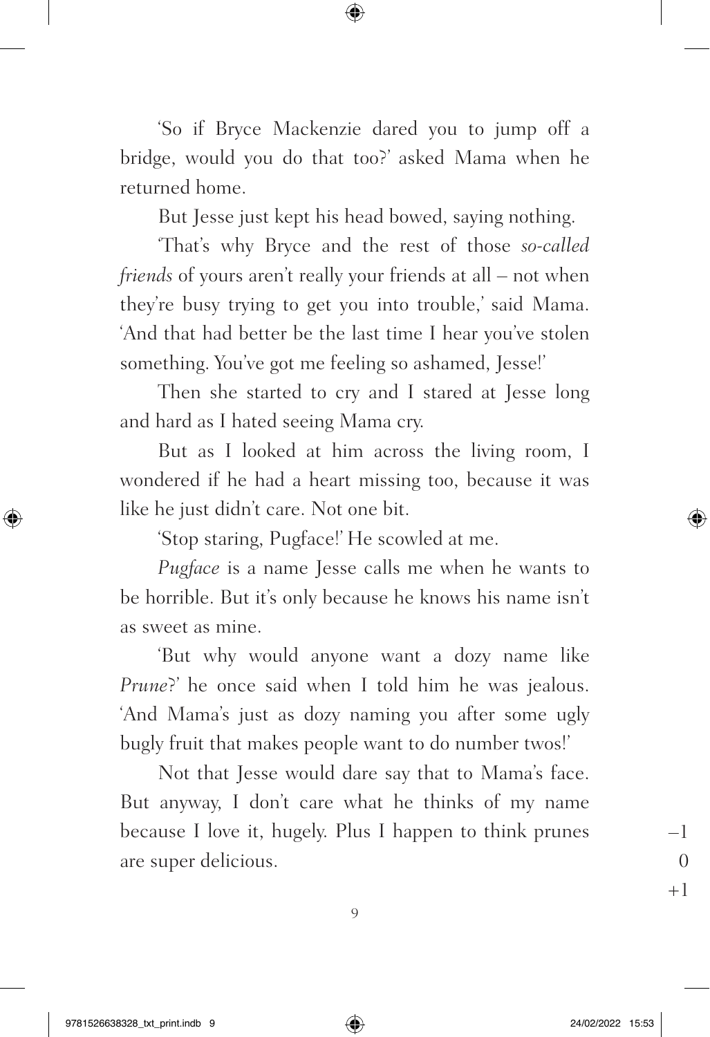'So if Bryce Mackenzie dared you to jump off a bridge, would you do that too?' asked Mama when he returned home.

But Jesse just kept his head bowed, saying nothing.

'That's why Bryce and the rest of those *so-called friends* of yours aren't really your friends at all – not when they're busy trying to get you into trouble,' said Mama. 'And that had better be the last time I hear you've stolen something. You've got me feeling so ashamed, Jesse!'

Then she started to cry and I stared at Jesse long and hard as I hated seeing Mama cry.

But as I looked at him across the living room, I wondered if he had a heart missing too, because it was like he just didn't care. Not one bit.

'Stop staring, Pugface!' He scowled at me.

*Pugface* is a name Jesse calls me when he wants to be horrible. But it's only because he knows his name isn't as sweet as mine.

'But why would anyone want a dozy name like *Prune*?' he once said when I told him he was jealous. 'And Mama's just as dozy naming you after some ugly bugly fruit that makes people want to do number twos!'

Not that Jesse would dare say that to Mama's face. But anyway, I don't care what he thinks of my name because I love it, hugely. Plus I happen to think prunes are super delicious.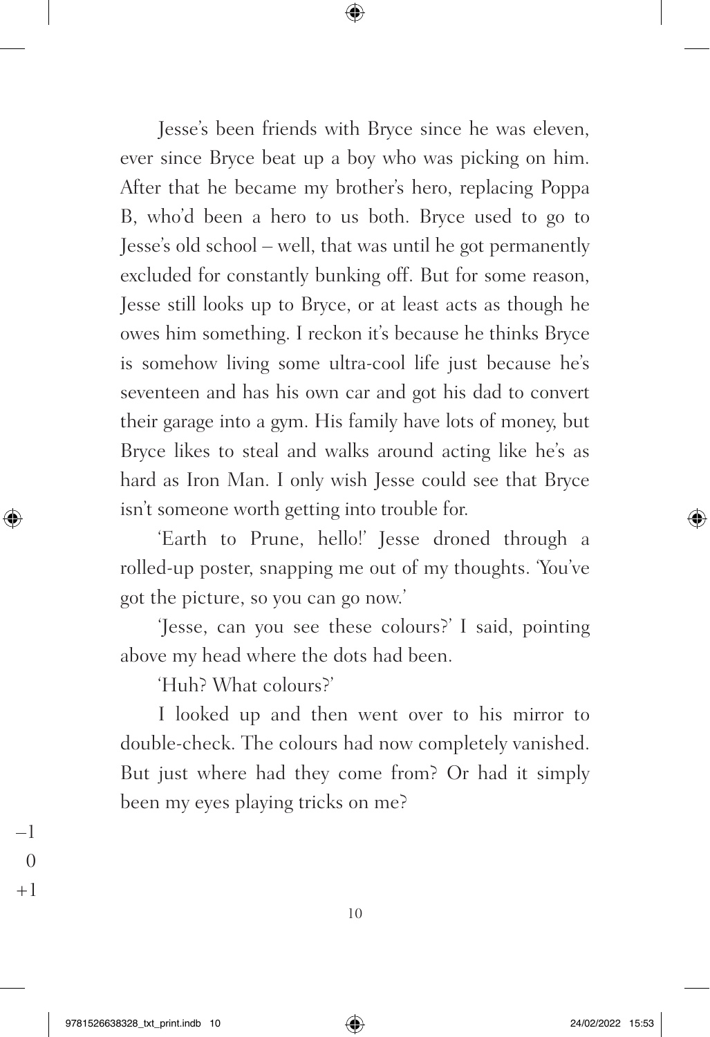Jesse's been friends with Bryce since he was eleven, ever since Bryce beat up a boy who was picking on him. After that he became my brother's hero, replacing Poppa B, who'd been a hero to us both. Bryce used to go to Jesse's old school – well, that was until he got permanently excluded for constantly bunking off. But for some reason, Jesse still looks up to Bryce, or at least acts as though he owes him something. I reckon it's because he thinks Bryce is somehow living some ultra-cool life just because he's seventeen and has his own car and got his dad to convert their garage into a gym. His family have lots of money, but Bryce likes to steal and walks around acting like he's as hard as Iron Man. I only wish Jesse could see that Bryce isn't someone worth getting into trouble for.

'Earth to Prune, hello!' Jesse droned through a rolled-up poster, snapping me out of my thoughts. 'You've got the picture, so you can go now.'

'Jesse, can you see these colours?' I said, pointing above my head where the dots had been.

'Huh? What colours?'

I looked up and then went over to his mirror to double-check. The colours had now completely vanished. But just where had they come from? Or had it simply been my eyes playing tricks on me?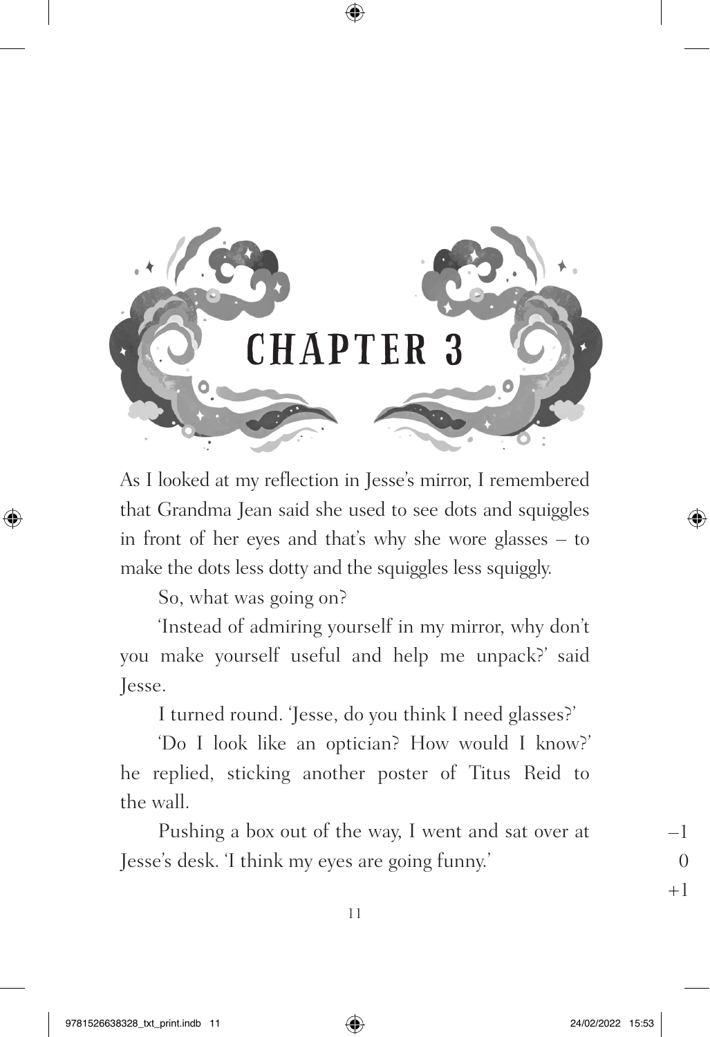

As I looked at my reflection in Jesse's mirror, I remembered that Grandma Jean said she used to see dots and squiggles in front of her eyes and that's why she wore glasses – to make the dots less dotty and the squiggles less squiggly.

So, what was going on?

'Instead of admiring yourself in my mirror, why don't you make yourself useful and help me unpack?' said Jesse.

I turned round. 'Jesse, do you think I need glasses?'

'Do I look like an optician? How would I know?' he replied, sticking another poster of Titus Reid to the wall.

Pushing a box out of the way, I went and sat over at Jesse's desk. 'I think my eyes are going funny.'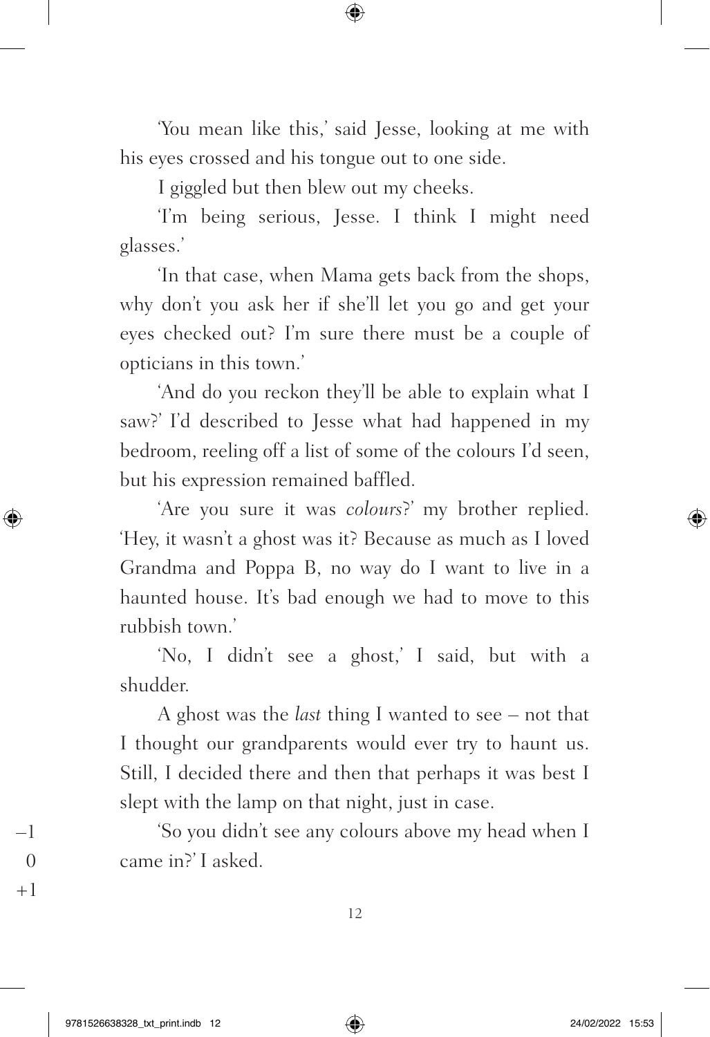'You mean like this,' said Jesse, looking at me with his eyes crossed and his tongue out to one side.

I giggled but then blew out my cheeks.

'I'm being serious, Jesse. I think I might need glasses.'

'In that case, when Mama gets back from the shops, why don't you ask her if she'll let you go and get your eyes checked out? I'm sure there must be a couple of opticians in this town.'

'And do you reckon they'll be able to explain what I saw?' I'd described to Jesse what had happened in my bedroom, reeling off a list of some of the colours I'd seen, but his expression remained baffled.

'Are you sure it was *colours*?' my brother replied. 'Hey, it wasn't a ghost was it? Because as much as I loved Grandma and Poppa B, no way do I want to live in a haunted house. It's bad enough we had to move to this rubbish town.'

'No, I didn't see a ghost,' I said, but with a shudder.

A ghost was the *last* thing I wanted to see – not that I thought our grandparents would ever try to haunt us. Still, I decided there and then that perhaps it was best I slept with the lamp on that night, just in case.

'So you didn't see any colours above my head when I came in?' I asked.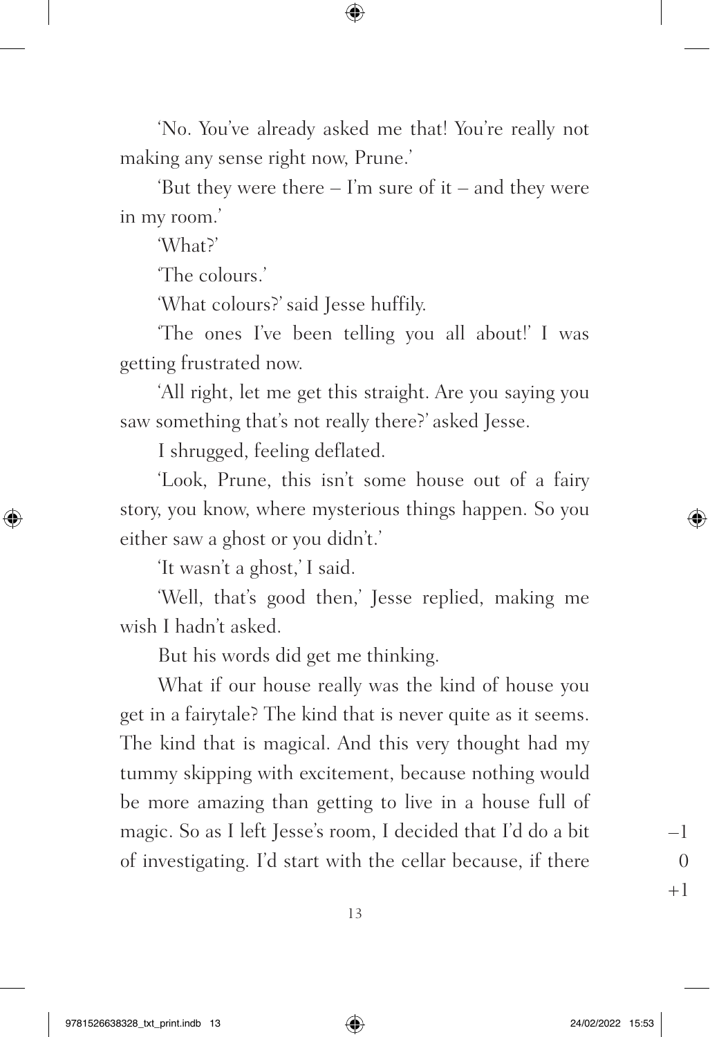'No. You've already asked me that! You're really not making any sense right now, Prune.'

'But they were there – I'm sure of it – and they were in my room.'

'What?'

'The colours.'

'What colours?' said Jesse huffily.

'The ones I've been telling you all about!' I was getting frustrated now.

'All right, let me get this straight. Are you saying you saw something that's not really there?' asked Jesse.

I shrugged, feeling deflated.

'Look, Prune, this isn't some house out of a fairy story, you know, where mysterious things happen. So you either saw a ghost or you didn't.'

'It wasn't a ghost,' I said.

'Well, that's good then,' Jesse replied, making me wish I hadn't asked.

But his words did get me thinking.

What if our house really was the kind of house you get in a fairytale? The kind that is never quite as it seems. The kind that is magical. And this very thought had my tummy skipping with excitement, because nothing would be more amazing than getting to live in a house full of magic. So as I left Jesse's room, I decided that I'd do a bit of investigating. I'd start with the cellar because, if there